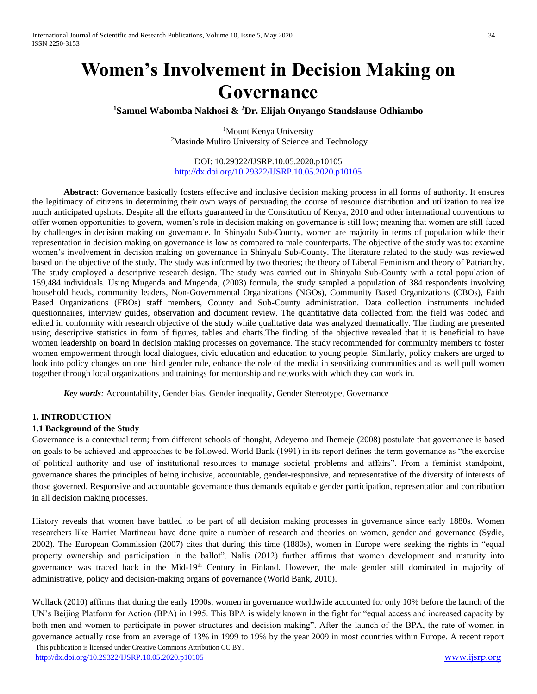# **Women's Involvement in Decision Making on Governance**

**<sup>1</sup>Samuel Wabomba Nakhosi & <sup>2</sup>Dr. Elijah Onyango Standslause Odhiambo**

<sup>1</sup>Mount Kenya University <sup>2</sup>Masinde Muliro University of Science and Technology

DOI: 10.29322/IJSRP.10.05.2020.p10105 <http://dx.doi.org/10.29322/IJSRP.10.05.2020.p10105>

**Abstract**: Governance basically fosters effective and inclusive decision making process in all forms of authority. It ensures the legitimacy of citizens in determining their own ways of persuading the course of resource distribution and utilization to realize much anticipated upshots. Despite all the efforts guaranteed in the Constitution of Kenya, 2010 and other international conventions to offer women opportunities to govern, women's role in decision making on governance is still low; meaning that women are still faced by challenges in decision making on governance. In Shinyalu Sub-County, women are majority in terms of population while their representation in decision making on governance is low as compared to male counterparts. The objective of the study was to: examine women's involvement in decision making on governance in Shinyalu Sub-County. The literature related to the study was reviewed based on the objective of the study. The study was informed by two theories; the theory of Liberal Feminism and theory of Patriarchy. The study employed a descriptive research design. The study was carried out in Shinyalu Sub-County with a total population of 159,484 individuals. Using Mugenda and Mugenda, (2003) formula, the study sampled a population of 384 respondents involving household heads, community leaders, Non-Governmental Organizations (NGOs), Community Based Organizations (CBOs), Faith Based Organizations (FBOs) staff members, County and Sub-County administration. Data collection instruments included questionnaires, interview guides, observation and document review. The quantitative data collected from the field was coded and edited in conformity with research objective of the study while qualitative data was analyzed thematically. The finding are presented using descriptive statistics in form of figures, tables and charts.The finding of the objective revealed that it is beneficial to have women leadership on board in decision making processes on governance. The study recommended for community members to foster women empowerment through local dialogues, civic education and education to young people. Similarly, policy makers are urged to look into policy changes on one third gender rule, enhance the role of the media in sensitizing communities and as well pull women together through local organizations and trainings for mentorship and networks with which they can work in.

*Key words:* Accountability, Gender bias, Gender inequality, Gender Stereotype, Governance

#### **1. INTRODUCTION**

#### **1.1 Background of the Study**

Governance is a contextual term; from different schools of thought, Adeyemo and Ihemeje (2008) postulate that governance is based on goals to be achieved and approaches to be followed. World Bank (1991) in its report defines the term governance as "the exercise of political authority and use of institutional resources to manage societal problems and affairs". From a feminist standpoint, governance shares the principles of being inclusive, accountable, gender-responsive, and representative of the diversity of interests of those governed. Responsive and accountable governance thus demands equitable gender participation, representation and contribution in all decision making processes.

History reveals that women have battled to be part of all decision making processes in governance since early 1880s. Women researchers like Harriet Martineau have done quite a number of research and theories on women, gender and governance (Sydie, 2002). The European Commission (2007) cites that during this time (1880s), women in Europe were seeking the rights in "equal property ownership and participation in the ballot". Nalis (2012) further affirms that women development and maturity into governance was traced back in the Mid-19<sup>th</sup> Century in Finland. However, the male gender still dominated in majority of administrative, policy and decision-making organs of governance (World Bank, 2010).

 This publication is licensed under Creative Commons Attribution CC BY. Wollack (2010) affirms that during the early 1990s, women in governance worldwide accounted for only 10% before the launch of the UN's Beijing Platform for Action (BPA) in 1995. This BPA is widely known in the fight for "equal access and increased capacity by both men and women to participate in power structures and decision making". After the launch of the BPA, the rate of women in governance actually rose from an average of 13% in 1999 to 19% by the year 2009 in most countries within Europe. A recent report

<http://dx.doi.org/10.29322/IJSRP.10.05.2020.p10105> [www.ijsrp.org](http://ijsrp.org/)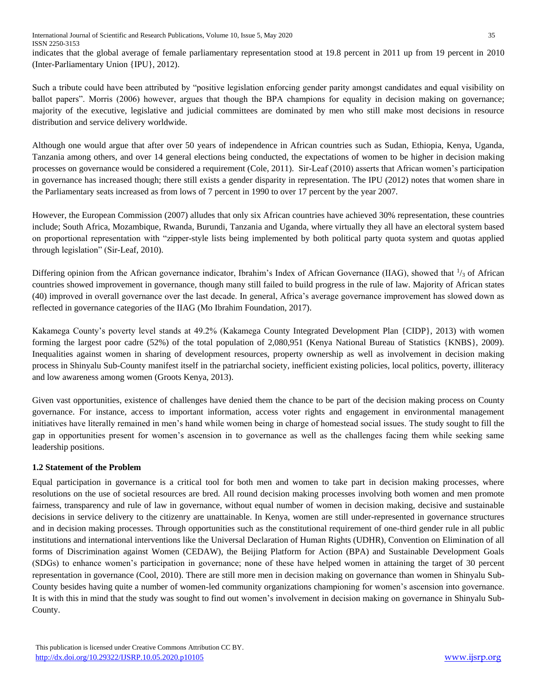indicates that the global average of female parliamentary representation stood at 19.8 percent in 2011 up from 19 percent in 2010 (Inter-Parliamentary Union {IPU}, 2012).

Such a tribute could have been attributed by "positive legislation enforcing gender parity amongst candidates and equal visibility on ballot papers". Morris (2006) however, argues that though the BPA champions for equality in decision making on governance; majority of the executive, legislative and judicial committees are dominated by men who still make most decisions in resource distribution and service delivery worldwide.

Although one would argue that after over 50 years of independence in African countries such as Sudan, Ethiopia, Kenya, Uganda, Tanzania among others, and over 14 general elections being conducted, the expectations of women to be higher in decision making processes on governance would be considered a requirement (Cole, 2011). Sir-Leaf (2010) asserts that African women's participation in governance has increased though; there still exists a gender disparity in representation. The IPU (2012) notes that women share in the Parliamentary seats increased as from lows of 7 percent in 1990 to over 17 percent by the year 2007.

However, the European Commission (2007) alludes that only six African countries have achieved 30% representation, these countries include; South Africa, Mozambique, Rwanda, Burundi, Tanzania and Uganda, where virtually they all have an electoral system based on proportional representation with "zipper-style lists being implemented by both political party quota system and quotas applied through legislation" (Sir-Leaf, 2010).

Differing opinion from the African governance indicator, Ibrahim's Index of African Governance (IIAG), showed that  $\frac{1}{3}$  of African countries showed improvement in governance, though many still failed to build progress in the rule of law. Majority of African states (40) improved in overall governance over the last decade. In general, Africa's average governance improvement has slowed down as reflected in governance categories of the IIAG (Mo Ibrahim Foundation, 2017).

Kakamega County's poverty level stands at 49.2% (Kakamega County Integrated Development Plan {CIDP}, 2013) with women forming the largest poor cadre (52%) of the total population of 2,080,951 (Kenya National Bureau of Statistics {KNBS}, 2009). Inequalities against women in sharing of development resources, property ownership as well as involvement in decision making process in Shinyalu Sub-County manifest itself in the patriarchal society, inefficient existing policies, local politics, poverty, illiteracy and low awareness among women (Groots Kenya, 2013).

Given vast opportunities, existence of challenges have denied them the chance to be part of the decision making process on County governance. For instance, access to important information, access voter rights and engagement in environmental management initiatives have literally remained in men's hand while women being in charge of homestead social issues. The study sought to fill the gap in opportunities present for women's ascension in to governance as well as the challenges facing them while seeking same leadership positions.

# **1.2 Statement of the Problem**

Equal participation in governance is a critical tool for both men and women to take part in decision making processes, where resolutions on the use of societal resources are bred. All round decision making processes involving both women and men promote fairness, transparency and rule of law in governance, without equal number of women in decision making, decisive and sustainable decisions in service delivery to the citizenry are unattainable. In Kenya, women are still under-represented in governance structures and in decision making processes. Through opportunities such as the constitutional requirement of one-third gender rule in all public institutions and international interventions like the Universal Declaration of Human Rights (UDHR), Convention on Elimination of all forms of Discrimination against Women (CEDAW), the Beijing Platform for Action (BPA) and Sustainable Development Goals (SDGs) to enhance women's participation in governance; none of these have helped women in attaining the target of 30 percent representation in governance (Cool, 2010). There are still more men in decision making on governance than women in Shinyalu Sub-County besides having quite a number of women-led community organizations championing for women's ascension into governance. It is with this in mind that the study was sought to find out women's involvement in decision making on governance in Shinyalu Sub-County.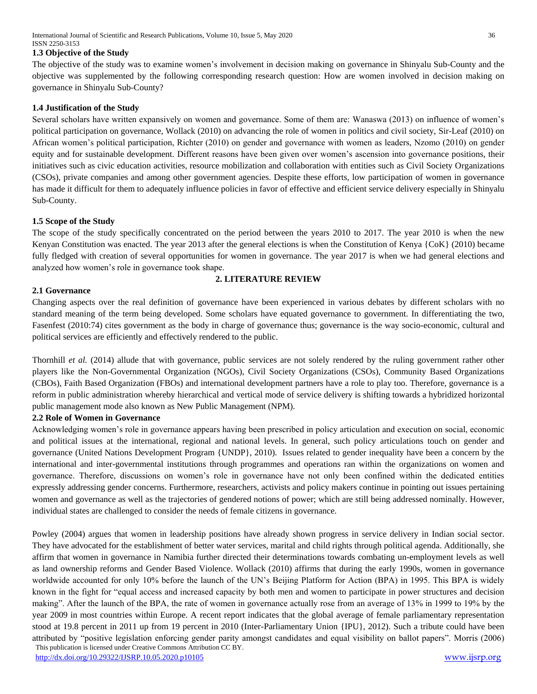International Journal of Scientific and Research Publications, Volume 10, Issue 5, May 2020 36 ISSN 2250-3153

#### **1.3 Objective of the Study**

The objective of the study was to examine women's involvement in decision making on governance in Shinyalu Sub-County and the objective was supplemented by the following corresponding research question: How are women involved in decision making on governance in Shinyalu Sub-County?

#### **1.4 Justification of the Study**

Several scholars have written expansively on women and governance. Some of them are: Wanaswa (2013) on influence of women's political participation on governance, Wollack (2010) on advancing the role of women in politics and civil society, Sir-Leaf (2010) on African women's political participation, Richter (2010) on gender and governance with women as leaders, Nzomo (2010) on gender equity and for sustainable development. Different reasons have been given over women's ascension into governance positions, their initiatives such as civic education activities, resource mobilization and collaboration with entities such as Civil Society Organizations (CSOs), private companies and among other government agencies. Despite these efforts, low participation of women in governance has made it difficult for them to adequately influence policies in favor of effective and efficient service delivery especially in Shinyalu Sub-County.

#### **1.5 Scope of the Study**

The scope of the study specifically concentrated on the period between the years 2010 to 2017. The year 2010 is when the new Kenyan Constitution was enacted. The year 2013 after the general elections is when the Constitution of Kenya {CoK} (2010) became fully fledged with creation of several opportunities for women in governance. The year 2017 is when we had general elections and analyzed how women's role in governance took shape.

# **2. LITERATURE REVIEW**

#### **2.1 Governance**

Changing aspects over the real definition of governance have been experienced in various debates by different scholars with no standard meaning of the term being developed. Some scholars have equated governance to government. In differentiating the two, Fasenfest (2010:74) cites government as the body in charge of governance thus; governance is the way socio-economic, cultural and political services are efficiently and effectively rendered to the public.

Thornhill *et al.* (2014) allude that with governance, public services are not solely rendered by the ruling government rather other players like the Non-Governmental Organization (NGOs), Civil Society Organizations (CSOs), Community Based Organizations (CBOs), Faith Based Organization (FBOs) and international development partners have a role to play too. Therefore, governance is a reform in public administration whereby hierarchical and vertical mode of service delivery is shifting towards a hybridized horizontal public management mode also known as New Public Management (NPM).

#### **2.2 Role of Women in Governance**

Acknowledging women's role in governance appears having been prescribed in policy articulation and execution on social, economic and political issues at the international, regional and national levels. In general, such policy articulations touch on gender and governance (United Nations Development Program {UNDP}, 2010). Issues related to gender inequality have been a concern by the international and inter-governmental institutions through programmes and operations ran within the organizations on women and governance. Therefore, discussions on women's role in governance have not only been confined within the dedicated entities expressly addressing gender concerns. Furthermore, researchers, activists and policy makers continue in pointing out issues pertaining women and governance as well as the trajectories of gendered notions of power; which are still being addressed nominally. However, individual states are challenged to consider the needs of female citizens in governance.

 This publication is licensed under Creative Commons Attribution CC BY. Powley (2004) argues that women in leadership positions have already shown progress in service delivery in Indian social sector. They have advocated for the establishment of better water services, marital and child rights through political agenda. Additionally, she affirm that women in governance in Namibia further directed their determinations towards combating un-employment levels as well as land ownership reforms and Gender Based Violence. Wollack (2010) affirms that during the early 1990s, women in governance worldwide accounted for only 10% before the launch of the UN's Beijing Platform for Action (BPA) in 1995. This BPA is widely known in the fight for "equal access and increased capacity by both men and women to participate in power structures and decision making". After the launch of the BPA, the rate of women in governance actually rose from an average of 13% in 1999 to 19% by the year 2009 in most countries within Europe. A recent report indicates that the global average of female parliamentary representation stood at 19.8 percent in 2011 up from 19 percent in 2010 (Inter-Parliamentary Union {IPU}, 2012). Such a tribute could have been attributed by "positive legislation enforcing gender parity amongst candidates and equal visibility on ballot papers". Morris (2006)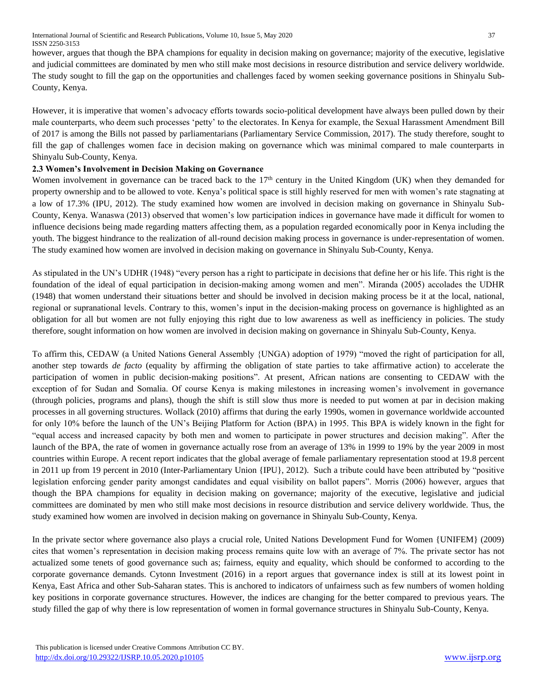International Journal of Scientific and Research Publications, Volume 10, Issue 5, May 2020 37 ISSN 2250-3153

however, argues that though the BPA champions for equality in decision making on governance; majority of the executive, legislative and judicial committees are dominated by men who still make most decisions in resource distribution and service delivery worldwide. The study sought to fill the gap on the opportunities and challenges faced by women seeking governance positions in Shinyalu Sub-County, Kenya.

However, it is imperative that women's advocacy efforts towards socio-political development have always been pulled down by their male counterparts, who deem such processes 'petty' to the electorates. In Kenya for example, the Sexual Harassment Amendment Bill of 2017 is among the Bills not passed by parliamentarians (Parliamentary Service Commission, 2017). The study therefore, sought to fill the gap of challenges women face in decision making on governance which was minimal compared to male counterparts in Shinyalu Sub-County, Kenya.

# **2.3 Women's Involvement in Decision Making on Governance**

Women involvement in governance can be traced back to the 17<sup>th</sup> century in the United Kingdom (UK) when they demanded for property ownership and to be allowed to vote. Kenya's political space is still highly reserved for men with women's rate stagnating at a low of 17.3% (IPU, 2012). The study examined how women are involved in decision making on governance in Shinyalu Sub-County, Kenya. Wanaswa (2013) observed that women's low participation indices in governance have made it difficult for women to influence decisions being made regarding matters affecting them, as a population regarded economically poor in Kenya including the youth. The biggest hindrance to the realization of all-round decision making process in governance is under-representation of women. The study examined how women are involved in decision making on governance in Shinyalu Sub-County, Kenya.

As stipulated in the UN's UDHR (1948) "every person has a right to participate in decisions that define her or his life. This right is the foundation of the ideal of equal participation in decision-making among women and men". Miranda (2005) accolades the UDHR (1948) that women understand their situations better and should be involved in decision making process be it at the local, national, regional or supranational levels. Contrary to this, women's input in the decision-making process on governance is highlighted as an obligation for all but women are not fully enjoying this right due to low awareness as well as inefficiency in policies. The study therefore, sought information on how women are involved in decision making on governance in Shinyalu Sub-County, Kenya.

To affirm this, CEDAW (a United Nations General Assembly {UNGA) adoption of 1979) "moved the right of participation for all, another step towards *de facto* (equality by affirming the obligation of state parties to take affirmative action) to accelerate the participation of women in public decision-making positions". At present, African nations are consenting to CEDAW with the exception of for Sudan and Somalia. Of course Kenya is making milestones in increasing women's involvement in governance (through policies, programs and plans), though the shift is still slow thus more is needed to put women at par in decision making processes in all governing structures. Wollack (2010) affirms that during the early 1990s, women in governance worldwide accounted for only 10% before the launch of the UN's Beijing Platform for Action (BPA) in 1995. This BPA is widely known in the fight for "equal access and increased capacity by both men and women to participate in power structures and decision making". After the launch of the BPA, the rate of women in governance actually rose from an average of 13% in 1999 to 19% by the year 2009 in most countries within Europe. A recent report indicates that the global average of female parliamentary representation stood at 19.8 percent in 2011 up from 19 percent in 2010 (Inter-Parliamentary Union {IPU}, 2012). Such a tribute could have been attributed by "positive legislation enforcing gender parity amongst candidates and equal visibility on ballot papers". Morris (2006) however, argues that though the BPA champions for equality in decision making on governance; majority of the executive, legislative and judicial committees are dominated by men who still make most decisions in resource distribution and service delivery worldwide. Thus, the study examined how women are involved in decision making on governance in Shinyalu Sub-County, Kenya.

In the private sector where governance also plays a crucial role, United Nations Development Fund for Women {UNIFEM} (2009) cites that women's representation in decision making process remains quite low with an average of 7%. The private sector has not actualized some tenets of good governance such as; fairness, equity and equality, which should be conformed to according to the corporate governance demands. Cytonn Investment (2016) in a report argues that governance index is still at its lowest point in Kenya, East Africa and other Sub-Saharan states. This is anchored to indicators of unfairness such as few numbers of women holding key positions in corporate governance structures. However, the indices are changing for the better compared to previous years. The study filled the gap of why there is low representation of women in formal governance structures in Shinyalu Sub-County, Kenya.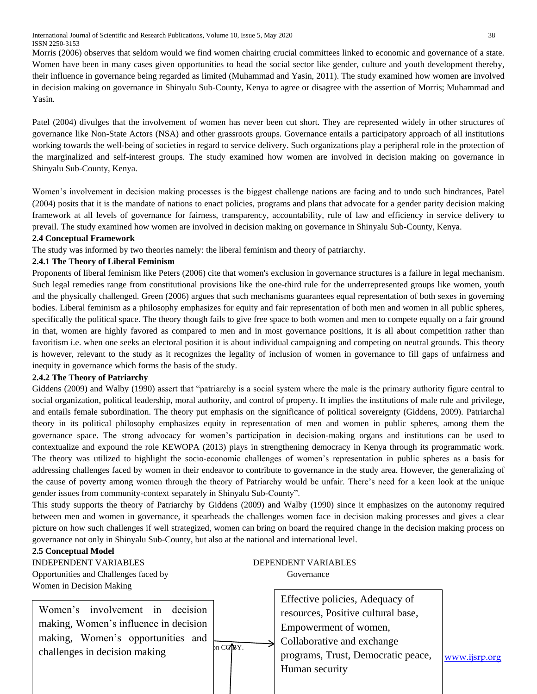International Journal of Scientific and Research Publications, Volume 10, Issue 5, May 2020 38 ISSN 2250-3153

Morris (2006) observes that seldom would we find women chairing crucial committees linked to economic and governance of a state. Women have been in many cases given opportunities to head the social sector like gender, culture and youth development thereby, their influence in governance being regarded as limited (Muhammad and Yasin, 2011). The study examined how women are involved in decision making on governance in Shinyalu Sub-County, Kenya to agree or disagree with the assertion of Morris; Muhammad and Yasin.

Patel (2004) divulges that the involvement of women has never been cut short. They are represented widely in other structures of governance like Non-State Actors (NSA) and other grassroots groups. Governance entails a participatory approach of all institutions working towards the well-being of societies in regard to service delivery. Such organizations play a peripheral role in the protection of the marginalized and self-interest groups. The study examined how women are involved in decision making on governance in Shinyalu Sub-County, Kenya.

Women's involvement in decision making processes is the biggest challenge nations are facing and to undo such hindrances, Patel (2004) posits that it is the mandate of nations to enact policies, programs and plans that advocate for a gender parity decision making framework at all levels of governance for fairness, transparency, accountability, rule of law and efficiency in service delivery to prevail. The study examined how women are involved in decision making on governance in Shinyalu Sub-County, Kenya.

#### **2.4 Conceptual Framework**

The study was informed by two theories namely: the liberal feminism and theory of patriarchy.

#### **2.4.1 The Theory of Liberal Feminism**

Proponents of liberal feminism like Peters (2006) cite that women's exclusion in governance structures is a failure in legal mechanism. Such legal remedies range from constitutional provisions like the one-third rule for the underrepresented groups like women, youth and the physically challenged. Green (2006) argues that such mechanisms guarantees equal representation of both sexes in governing bodies. Liberal feminism as a philosophy emphasizes for equity and fair representation of both men and women in all public spheres, specifically the political space. The theory though fails to give free space to both women and men to compete equally on a fair ground in that, women are highly favored as compared to men and in most governance positions, it is all about competition rather than favoritism i.e. when one seeks an electoral position it is about individual campaigning and competing on neutral grounds. This theory is however, relevant to the study as it recognizes the legality of inclusion of women in governance to fill gaps of unfairness and inequity in governance which forms the basis of the study.

#### **2.4.2 The Theory of Patriarchy**

Giddens (2009) and Walby (1990) assert that "patriarchy is a social system where the male is the primary authority figure central to social organization, political leadership, moral authority, and control of property. It implies the institutions of male rule and privilege, and entails female subordination. The theory put emphasis on the significance of political sovereignty (Giddens, 2009). Patriarchal theory in its political philosophy emphasizes equity in representation of men and women in public spheres, among them the governance space. The strong advocacy for women's participation in decision-making organs and institutions can be used to contextualize and expound the role KEWOPA (2013) plays in strengthening democracy in Kenya through its programmatic work. The theory was utilized to highlight the socio-economic challenges of women's representation in public spheres as a basis for addressing challenges faced by women in their endeavor to contribute to governance in the study area. However, the generalizing of the cause of poverty among women through the theory of Patriarchy would be unfair. There's need for a keen look at the unique gender issues from community-context separately in Shinyalu Sub-County".

This study supports the theory of Patriarchy by Giddens (2009) and Walby (1990) since it emphasizes on the autonomy required between men and women in governance, it spearheads the challenges women face in decision making processes and gives a clear picture on how such challenges if well strategized, women can bring on board the required change in the decision making process on governance not only in Shinyalu Sub-County, but also at the national and international level.

#### **2.5 Conceptual Model**

INDEPENDENT VARIABLES DEPENDENT VARIABLES Opportunities and Challenges faced by Governance Women in Decision Making

challenges in decision making  $\ln \frac{\text{C}C}{\text{D}}$  compared  $\ln \frac{\text{C}C}{\text{D}}$ Women's involvement in decision making, Women's influence in decision making, Women's opportunities and

challenges in decision making and programs, Trust, Democratic peace, [www.ijsrp.org](http://ijsrp.org/) Effective policies, Adequacy of resources, Positive cultural base, Empowerment of women, Collaborative and exchange Human security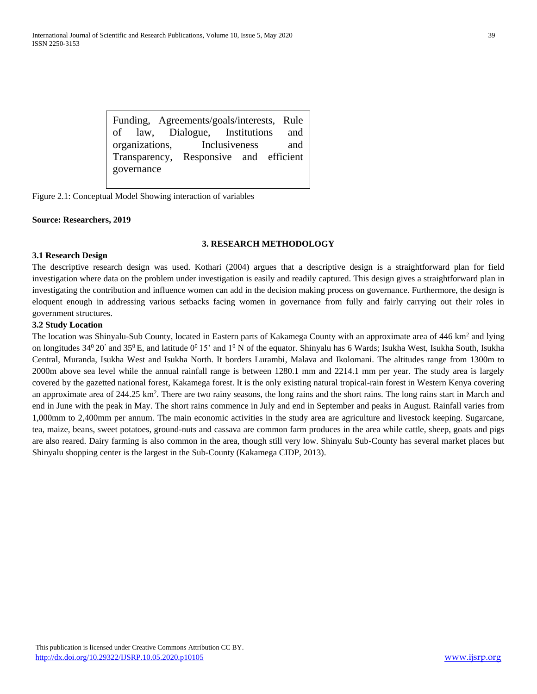Funding, Agreements/goals/interests, Rule of law, Dialogue, Institutions and organizations, Inclusiveness and Transparency, Responsive and efficient governance

Figure 2.1: Conceptual Model Showing interaction of variables

#### **Source: Researchers, 2019**

#### **3. RESEARCH METHODOLOGY**

#### **3.1 Research Design**

The descriptive research design was used. Kothari (2004) argues that a descriptive design is a straightforward plan for field investigation where data on the problem under investigation is easily and readily captured. This design gives a straightforward plan in investigating the contribution and influence women can add in the decision making process on governance. Furthermore, the design is eloquent enough in addressing various setbacks facing women in governance from fully and fairly carrying out their roles in government structures.

#### **3.2 Study Location**

The location was Shinyalu-Sub County, located in Eastern parts of Kakamega County with an approximate area of 446 km<sup>2</sup> and lying on longitudes  $34^{\circ}20'$  and  $35^{\circ}$  E, and latitude  $0^{\circ}15'$  and  $1^{\circ}$  N of the equator. Shinyalu has 6 Wards; Isukha West, Isukha South, Isukha Central, Muranda, Isukha West and Isukha North. It borders Lurambi, Malava and Ikolomani. The altitudes range from 1300m to 2000m above sea level while the annual rainfall range is between 1280.1 mm and 2214.1 mm per year. The study area is largely covered by the gazetted national forest, Kakamega forest. It is the only existing natural tropical-rain forest in Western Kenya covering an approximate area of 244.25 km<sup>2</sup>. There are two rainy seasons, the long rains and the short rains. The long rains start in March and end in June with the peak in May. The short rains commence in July and end in September and peaks in August. Rainfall varies from 1,000mm to 2,400mm per annum. The main economic activities in the study area are agriculture and livestock keeping. Sugarcane, tea, maize, beans, sweet potatoes, ground-nuts and cassava are common farm produces in the area while cattle, sheep, goats and pigs are also reared. Dairy farming is also common in the area, though still very low. Shinyalu Sub-County has several market places but Shinyalu shopping center is the largest in the Sub-County (Kakamega CIDP, 2013).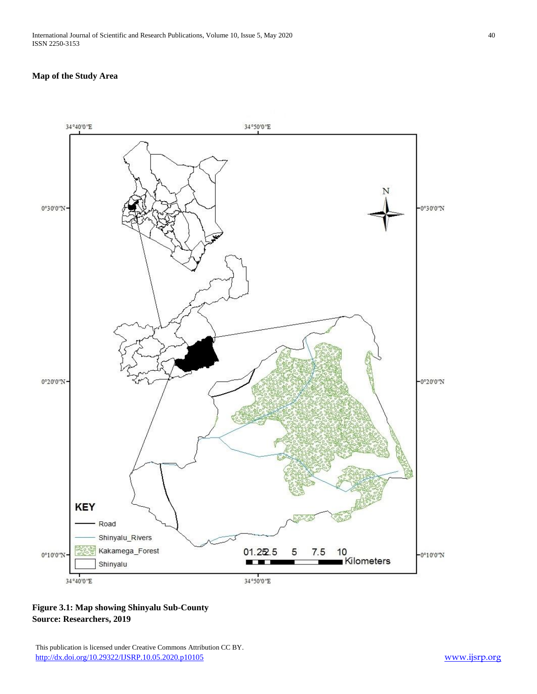#### **Map of the Study Area**



**Figure 3.1: Map showing Shinyalu Sub-County Source: Researchers, 2019**

This publication is licensed under Creative Commons Attribution CC BY. <http://dx.doi.org/10.29322/IJSRP.10.05.2020.p10105> [www.ijsrp.org](http://ijsrp.org/)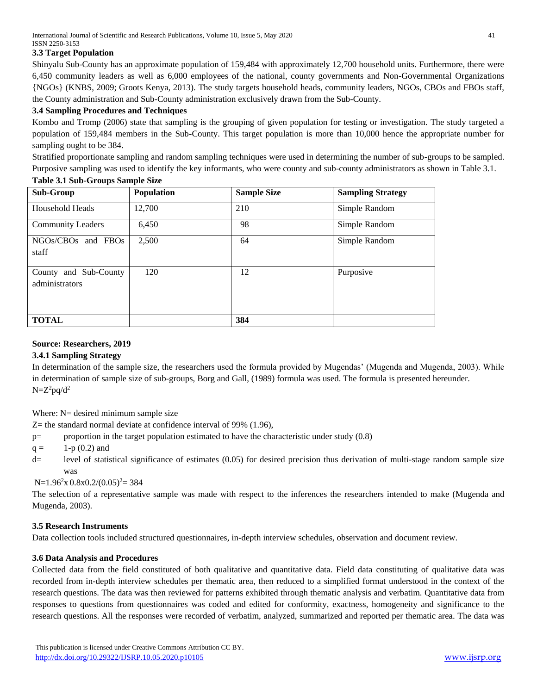# **3.3 Target Population**

Shinyalu Sub-County has an approximate population of 159,484 with approximately 12,700 household units. Furthermore, there were 6,450 community leaders as well as 6,000 employees of the national, county governments and Non-Governmental Organizations {NGOs} (KNBS, 2009; Groots Kenya, 2013). The study targets household heads, community leaders, NGOs, CBOs and FBOs staff, the County administration and Sub-County administration exclusively drawn from the Sub-County.

# **3.4 Sampling Procedures and Techniques**

Kombo and Tromp (2006) state that sampling is the grouping of given population for testing or investigation. The study targeted a population of 159,484 members in the Sub-County. This target population is more than 10,000 hence the appropriate number for sampling ought to be 384.

Stratified proportionate sampling and random sampling techniques were used in determining the number of sub-groups to be sampled. Purposive sampling was used to identify the key informants, who were county and sub-county administrators as shown in Table 3.1.

# **Table 3.1 Sub-Groups Sample Size**

| <b>Sub-Group</b>                        | Population | <b>Sample Size</b> | <b>Sampling Strategy</b> |
|-----------------------------------------|------------|--------------------|--------------------------|
| <b>Household Heads</b>                  | 12,700     | 210                | Simple Random            |
| <b>Community Leaders</b>                | 6,450      | 98                 | Simple Random            |
| NGOs/CBOs and FBOs<br>staff             | 2,500      | 64                 | Simple Random            |
| County and Sub-County<br>administrators | 120        | 12                 | Purposive                |
| <b>TOTAL</b>                            |            | 384                |                          |

#### **Source: Researchers, 2019**

#### **3.4.1 Sampling Strategy**

In determination of the sample size, the researchers used the formula provided by Mugendas' (Mugenda and Mugenda, 2003). While in determination of sample size of sub-groups, Borg and Gall, (1989) formula was used. The formula is presented hereunder.  $N = Z^2pq/d^2$ 

Where: N= desired minimum sample size

Z= the standard normal deviate at confidence interval of 99% (1.96),

p= proportion in the target population estimated to have the characteristic under study (0.8)

 $q = 1-p(0.2)$  and

d= level of statistical significance of estimates (0.05) for desired precision thus derivation of multi-stage random sample size was

 $N=1.96^{2}x \cdot 0.8x \cdot 0.2/(0.05)^{2} = 384$ 

The selection of a representative sample was made with respect to the inferences the researchers intended to make (Mugenda and Mugenda, 2003).

# **3.5 Research Instruments**

Data collection tools included structured questionnaires, in-depth interview schedules, observation and document review.

#### **3.6 Data Analysis and Procedures**

Collected data from the field constituted of both qualitative and quantitative data. Field data constituting of qualitative data was recorded from in-depth interview schedules per thematic area, then reduced to a simplified format understood in the context of the research questions. The data was then reviewed for patterns exhibited through thematic analysis and verbatim. Quantitative data from responses to questions from questionnaires was coded and edited for conformity, exactness, homogeneity and significance to the research questions. All the responses were recorded of verbatim, analyzed, summarized and reported per thematic area. The data was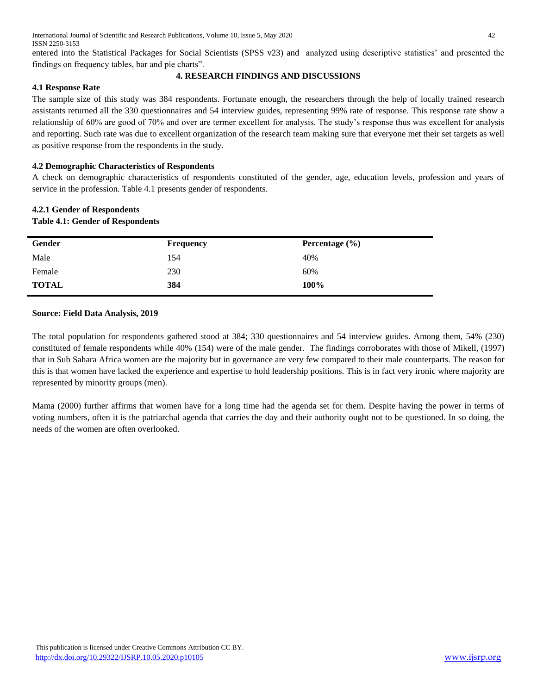entered into the Statistical Packages for Social Scientists (SPSS v23) and analyzed using descriptive statistics' and presented the findings on frequency tables, bar and pie charts".

#### **4. RESEARCH FINDINGS AND DISCUSSIONS**

# **4.1 Response Rate**

The sample size of this study was 384 respondents. Fortunate enough, the researchers through the help of locally trained research assistants returned all the 330 questionnaires and 54 interview guides, representing 99% rate of response. This response rate show a relationship of 60% are good of 70% and over are termer excellent for analysis. The study's response thus was excellent for analysis and reporting. Such rate was due to excellent organization of the research team making sure that everyone met their set targets as well as positive response from the respondents in the study.

# **4.2 Demographic Characteristics of Respondents**

A check on demographic characteristics of respondents constituted of the gender, age, education levels, profession and years of service in the profession. Table 4.1 presents gender of respondents.

# **4.2.1 Gender of Respondents Table 4.1: Gender of Respondents**

| Gender       | <b>Frequency</b> | Percentage $(\% )$ |
|--------------|------------------|--------------------|
| Male         | 154              | 40%                |
| Female       | 230              | 60%                |
| <b>TOTAL</b> | 384              | 100%               |

# **Source: Field Data Analysis, 2019**

The total population for respondents gathered stood at 384; 330 questionnaires and 54 interview guides. Among them, 54% (230) constituted of female respondents while 40% (154) were of the male gender. The findings corroborates with those of Mikell, (1997) that in Sub Sahara Africa women are the majority but in governance are very few compared to their male counterparts. The reason for this is that women have lacked the experience and expertise to hold leadership positions. This is in fact very ironic where majority are represented by minority groups (men).

Mama (2000) further affirms that women have for a long time had the agenda set for them. Despite having the power in terms of voting numbers, often it is the patriarchal agenda that carries the day and their authority ought not to be questioned. In so doing, the needs of the women are often overlooked.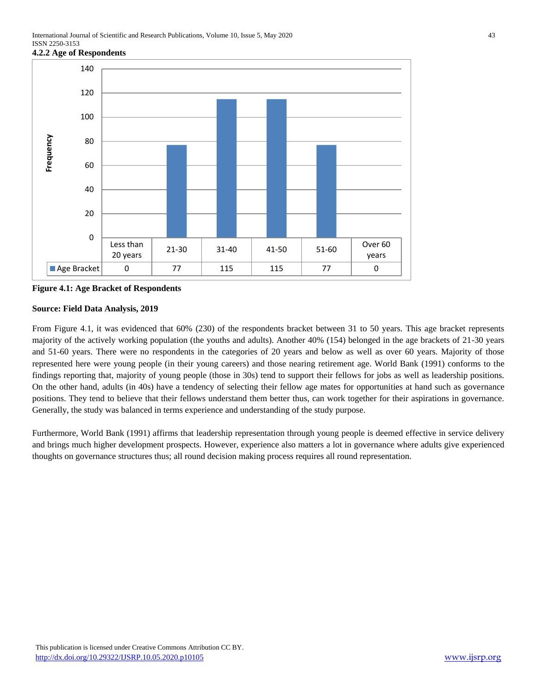

**Figure 4.1: Age Bracket of Respondents**

# **Source: Field Data Analysis, 2019**

From Figure 4.1, it was evidenced that 60% (230) of the respondents bracket between 31 to 50 years. This age bracket represents majority of the actively working population (the youths and adults). Another 40% (154) belonged in the age brackets of 21-30 years and 51-60 years. There were no respondents in the categories of 20 years and below as well as over 60 years. Majority of those represented here were young people (in their young careers) and those nearing retirement age. World Bank (1991) conforms to the findings reporting that, majority of young people (those in 30s) tend to support their fellows for jobs as well as leadership positions. On the other hand, adults (in 40s) have a tendency of selecting their fellow age mates for opportunities at hand such as governance positions. They tend to believe that their fellows understand them better thus, can work together for their aspirations in governance. Generally, the study was balanced in terms experience and understanding of the study purpose.

Furthermore, World Bank (1991) affirms that leadership representation through young people is deemed effective in service delivery and brings much higher development prospects. However, experience also matters a lot in governance where adults give experienced thoughts on governance structures thus; all round decision making process requires all round representation.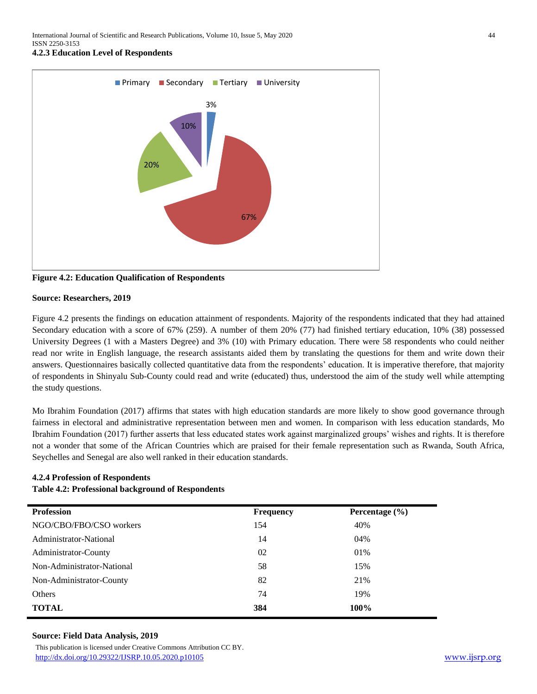

**Figure 4.2: Education Qualification of Respondents**

#### **Source: Researchers, 2019**

Figure 4.2 presents the findings on education attainment of respondents. Majority of the respondents indicated that they had attained Secondary education with a score of 67% (259). A number of them 20% (77) had finished tertiary education, 10% (38) possessed University Degrees (1 with a Masters Degree) and 3% (10) with Primary education. There were 58 respondents who could neither read nor write in English language, the research assistants aided them by translating the questions for them and write down their answers. Questionnaires basically collected quantitative data from the respondents' education. It is imperative therefore, that majority of respondents in Shinyalu Sub-County could read and write (educated) thus, understood the aim of the study well while attempting the study questions.

Mo Ibrahim Foundation (2017) affirms that states with high education standards are more likely to show good governance through fairness in electoral and administrative representation between men and women. In comparison with less education standards, Mo Ibrahim Foundation (2017) further asserts that less educated states work against marginalized groups' wishes and rights. It is therefore not a wonder that some of the African Countries which are praised for their female representation such as Rwanda, South Africa, Seychelles and Senegal are also well ranked in their education standards.

#### **4.2.4 Profession of Respondents**

#### **Table 4.2: Professional background of Respondents**

| <b>Profession</b>          | <b>Frequency</b> | Percentage $(\% )$ |
|----------------------------|------------------|--------------------|
| NGO/CBO/FBO/CSO workers    | 154              | 40%                |
| Administrator-National     | 14               | 04%                |
| Administrator-County       | 02               | 01%                |
| Non-Administrator-National | 58               | 15%                |
| Non-Administrator-County   | 82               | 21%                |
| Others                     | 74               | 19%                |
| <b>TOTAL</b>               | 384              | 100%               |

#### **Source: Field Data Analysis, 2019**

 This publication is licensed under Creative Commons Attribution CC BY. <http://dx.doi.org/10.29322/IJSRP.10.05.2020.p10105> [www.ijsrp.org](http://ijsrp.org/)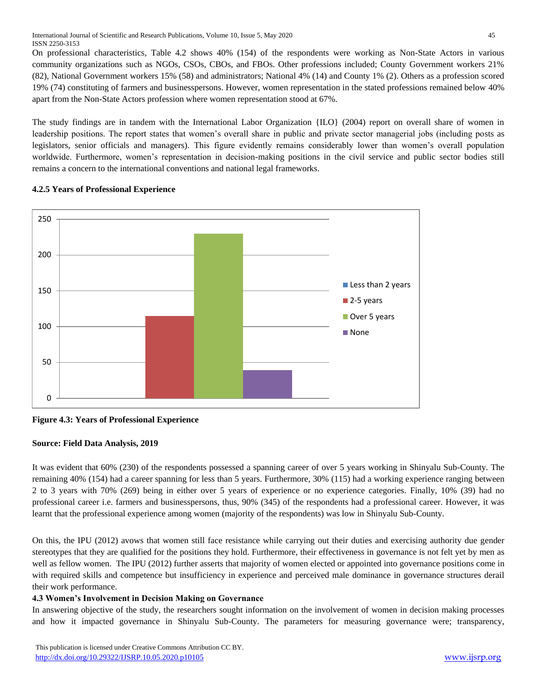On professional characteristics, Table 4.2 shows 40% (154) of the respondents were working as Non-State Actors in various community organizations such as NGOs, CSOs, CBOs, and FBOs. Other professions included; County Government workers 21% (82), National Government workers 15% (58) and administrators; National 4% (14) and County 1% (2). Others as a profession scored 19% (74) constituting of farmers and businesspersons. However, women representation in the stated professions remained below 40% apart from the Non-State Actors profession where women representation stood at 67%.

The study findings are in tandem with the International Labor Organization {ILO} (2004) report on overall share of women in leadership positions. The report states that women's overall share in public and private sector managerial jobs (including posts as legislators, senior officials and managers). This figure evidently remains considerably lower than women's overall population worldwide. Furthermore, women's representation in decision-making positions in the civil service and public sector bodies still remains a concern to the international conventions and national legal frameworks.



# **4.2.5 Years of Professional Experience**

**Figure 4.3: Years of Professional Experience** 

# **Source: Field Data Analysis, 2019**

It was evident that 60% (230) of the respondents possessed a spanning career of over 5 years working in Shinyalu Sub-County. The remaining 40% (154) had a career spanning for less than 5 years. Furthermore, 30% (115) had a working experience ranging between 2 to 3 years with 70% (269) being in either over 5 years of experience or no experience categories. Finally, 10% (39) had no professional career i.e. farmers and businesspersons, thus, 90% (345) of the respondents had a professional career. However, it was learnt that the professional experience among women (majority of the respondents) was low in Shinyalu Sub-County.

On this, the IPU (2012) avows that women still face resistance while carrying out their duties and exercising authority due gender stereotypes that they are qualified for the positions they hold. Furthermore, their effectiveness in governance is not felt yet by men as well as fellow women. The IPU (2012) further asserts that majority of women elected or appointed into governance positions come in with required skills and competence but insufficiency in experience and perceived male dominance in governance structures derail their work performance.

# **4.3 Women's Involvement in Decision Making on Governance**

In answering objective of the study, the researchers sought information on the involvement of women in decision making processes and how it impacted governance in Shinyalu Sub-County. The parameters for measuring governance were; transparency,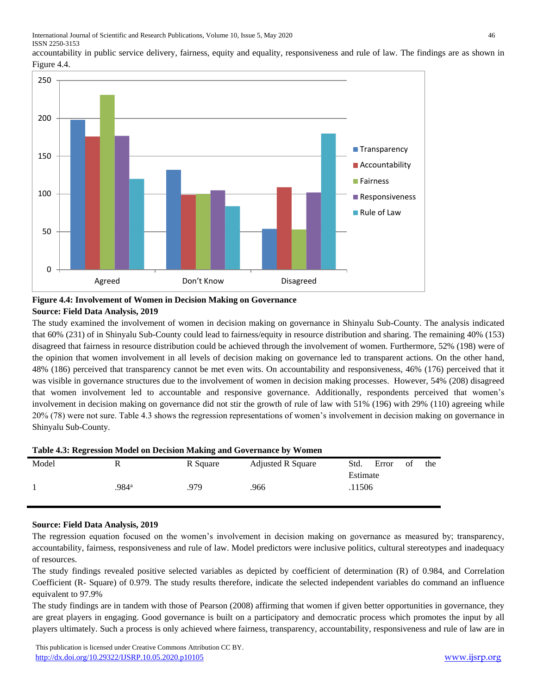

accountability in public service delivery, fairness, equity and equality, responsiveness and rule of law. The findings are as shown in Figure 4.4.

# **Figure 4.4: Involvement of Women in Decision Making on Governance Source: Field Data Analysis, 2019**

The study examined the involvement of women in decision making on governance in Shinyalu Sub-County. The analysis indicated that 60% (231) of in Shinyalu Sub-County could lead to fairness/equity in resource distribution and sharing. The remaining 40% (153) disagreed that fairness in resource distribution could be achieved through the involvement of women. Furthermore, 52% (198) were of the opinion that women involvement in all levels of decision making on governance led to transparent actions. On the other hand, 48% (186) perceived that transparency cannot be met even wits. On accountability and responsiveness, 46% (176) perceived that it was visible in governance structures due to the involvement of women in decision making processes. However, 54% (208) disagreed that women involvement led to accountable and responsive governance. Additionally, respondents perceived that women's involvement in decision making on governance did not stir the growth of rule of law with 51% (196) with 29% (110) agreeing while 20% (78) were not sure. Table 4.3 shows the regression representations of women's involvement in decision making on governance in Shinyalu Sub-County.

| <b>Table 4.5: Regression Model on Decision Making and Governance by Women</b> |       |          |                          |          |       |    |     |
|-------------------------------------------------------------------------------|-------|----------|--------------------------|----------|-------|----|-----|
| Model                                                                         |       | R Square | <b>Adjusted R Square</b> | Std.     | Error | of | the |
|                                                                               |       |          |                          | Estimate |       |    |     |
|                                                                               | .984ª | .979     | .966                     | .11506   |       |    |     |
|                                                                               |       |          |                          |          |       |    |     |

# **Table 4.3: Regression Model on Decision Making and Governance by Women**

#### **Source: Field Data Analysis, 2019**

The regression equation focused on the women's involvement in decision making on governance as measured by; transparency, accountability, fairness, responsiveness and rule of law. Model predictors were inclusive politics, cultural stereotypes and inadequacy of resources.

The study findings revealed positive selected variables as depicted by coefficient of determination (R) of 0.984, and Correlation Coefficient (R- Square) of 0.979. The study results therefore, indicate the selected independent variables do command an influence equivalent to 97.9%

The study findings are in tandem with those of Pearson (2008) affirming that women if given better opportunities in governance, they are great players in engaging. Good governance is built on a participatory and democratic process which promotes the input by all players ultimately. Such a process is only achieved where fairness, transparency, accountability, responsiveness and rule of law are in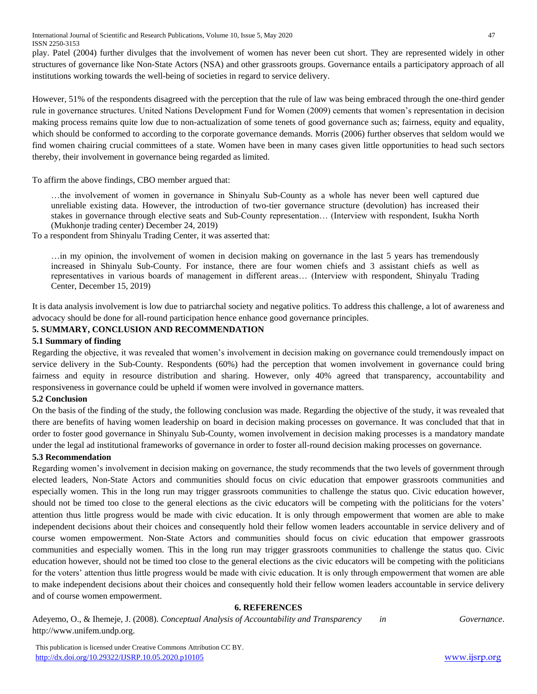International Journal of Scientific and Research Publications, Volume 10, Issue 5, May 2020 47 ISSN 2250-3153

play. Patel (2004) further divulges that the involvement of women has never been cut short. They are represented widely in other structures of governance like Non-State Actors (NSA) and other grassroots groups. Governance entails a participatory approach of all institutions working towards the well-being of societies in regard to service delivery.

However, 51% of the respondents disagreed with the perception that the rule of law was being embraced through the one-third gender rule in governance structures. United Nations Development Fund for Women (2009) cements that women's representation in decision making process remains quite low due to non-actualization of some tenets of good governance such as; fairness, equity and equality, which should be conformed to according to the corporate governance demands. Morris (2006) further observes that seldom would we find women chairing crucial committees of a state. Women have been in many cases given little opportunities to head such sectors thereby, their involvement in governance being regarded as limited.

To affirm the above findings, CBO member argued that:

…the involvement of women in governance in Shinyalu Sub-County as a whole has never been well captured due unreliable existing data. However, the introduction of two-tier governance structure (devolution) has increased their stakes in governance through elective seats and Sub-County representation… (Interview with respondent, Isukha North (Mukhonje trading center) December 24, 2019)

To a respondent from Shinyalu Trading Center, it was asserted that:

…in my opinion, the involvement of women in decision making on governance in the last 5 years has tremendously increased in Shinyalu Sub-County. For instance, there are four women chiefs and 3 assistant chiefs as well as representatives in various boards of management in different areas… (Interview with respondent, Shinyalu Trading Center, December 15, 2019)

It is data analysis involvement is low due to patriarchal society and negative politics. To address this challenge, a lot of awareness and advocacy should be done for all-round participation hence enhance good governance principles.

# **5. SUMMARY, CONCLUSION AND RECOMMENDATION**

#### **5.1 Summary of finding**

Regarding the objective, it was revealed that women's involvement in decision making on governance could tremendously impact on service delivery in the Sub-County. Respondents (60%) had the perception that women involvement in governance could bring fairness and equity in resource distribution and sharing. However, only 40% agreed that transparency, accountability and responsiveness in governance could be upheld if women were involved in governance matters.

#### **5.2 Conclusion**

On the basis of the finding of the study, the following conclusion was made. Regarding the objective of the study, it was revealed that there are benefits of having women leadership on board in decision making processes on governance. It was concluded that that in order to foster good governance in Shinyalu Sub-County, women involvement in decision making processes is a mandatory mandate under the legal ad institutional frameworks of governance in order to foster all-round decision making processes on governance.

#### **5.3 Recommendation**

Regarding women's involvement in decision making on governance, the study recommends that the two levels of government through elected leaders, Non-State Actors and communities should focus on civic education that empower grassroots communities and especially women. This in the long run may trigger grassroots communities to challenge the status quo. Civic education however, should not be timed too close to the general elections as the civic educators will be competing with the politicians for the voters' attention thus little progress would be made with civic education. It is only through empowerment that women are able to make independent decisions about their choices and consequently hold their fellow women leaders accountable in service delivery and of course women empowerment. Non-State Actors and communities should focus on civic education that empower grassroots communities and especially women. This in the long run may trigger grassroots communities to challenge the status quo. Civic education however, should not be timed too close to the general elections as the civic educators will be competing with the politicians for the voters' attention thus little progress would be made with civic education. It is only through empowerment that women are able to make independent decisions about their choices and consequently hold their fellow women leaders accountable in service delivery and of course women empowerment.

# **6. REFERENCES**

Adeyemo, O., & Ihemeje, J. (2008). *Conceptual Analysis of Accountability and Transparency in Governance*. http://www.unifem.undp.org.

 This publication is licensed under Creative Commons Attribution CC BY. <http://dx.doi.org/10.29322/IJSRP.10.05.2020.p10105> [www.ijsrp.org](http://ijsrp.org/)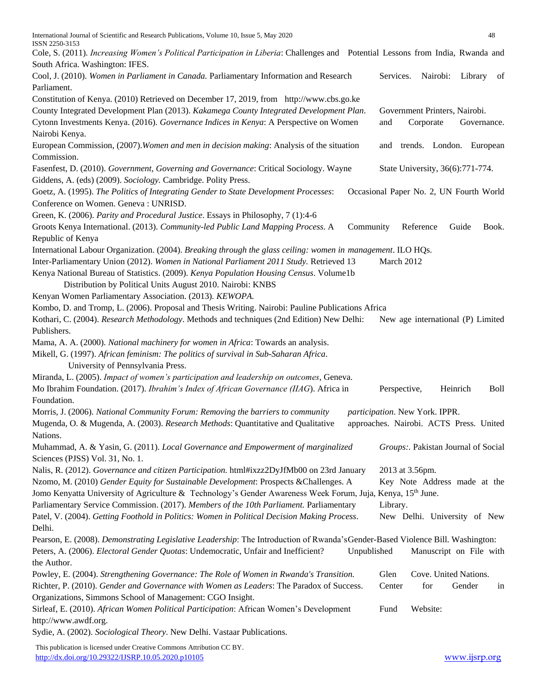| International Journal of Scientific and Research Publications, Volume 10, Issue 5, May 2020                                                                                                             | 48                                                                        |
|---------------------------------------------------------------------------------------------------------------------------------------------------------------------------------------------------------|---------------------------------------------------------------------------|
| ISSN 2250-3153<br>Cole, S. (2011). Increasing Women's Political Participation in Liberia: Challenges and Potential Lessons from India, Rwanda and                                                       |                                                                           |
| South Africa. Washington: IFES.                                                                                                                                                                         |                                                                           |
| Cool, J. (2010). Women in Parliament in Canada. Parliamentary Information and Research                                                                                                                  | Services.<br>Nairobi:<br>Library<br>of                                    |
| Parliament.                                                                                                                                                                                             |                                                                           |
| Constitution of Kenya. (2010) Retrieved on December 17, 2019, from http://www.cbs.go.ke                                                                                                                 |                                                                           |
| County Integrated Development Plan (2013). Kakamega County Integrated Development Plan.                                                                                                                 | Government Printers, Nairobi.                                             |
| Cytonn Investments Kenya. (2016). Governance Indices in Kenya: A Perspective on Women<br>Nairobi Kenya.                                                                                                 | and<br>Corporate<br>Governance.                                           |
| European Commission, (2007). Women and men in decision making: Analysis of the situation<br>Commission.                                                                                                 | and trends. London. European                                              |
| Fasenfest, D. (2010). Government, Governing and Governance: Critical Sociology. Wayne<br>Giddens, A. (eds) (2009). Sociology. Cambridge. Polity Press.                                                  | State University, 36(6):771-774.                                          |
| Goetz, A. (1995). The Politics of Integrating Gender to State Development Processes:<br>Conference on Women. Geneva: UNRISD.                                                                            | Occasional Paper No. 2, UN Fourth World                                   |
| Green, K. (2006). Parity and Procedural Justice. Essays in Philosophy, 7 (1):4-6                                                                                                                        |                                                                           |
| Groots Kenya International. (2013). Community-led Public Land Mapping Process. A<br>Community                                                                                                           | Reference<br>Guide<br>Book.                                               |
| Republic of Kenya                                                                                                                                                                                       |                                                                           |
| International Labour Organization. (2004). Breaking through the glass ceiling: women in management. ILO HQs.<br>Inter-Parliamentary Union (2012). Women in National Parliament 2011 Study. Retrieved 13 | March 2012                                                                |
| Kenya National Bureau of Statistics. (2009). Kenya Population Housing Census. Volume1b<br>Distribution by Political Units August 2010. Nairobi: KNBS                                                    |                                                                           |
| Kenyan Women Parliamentary Association. (2013). KEWOPA.                                                                                                                                                 |                                                                           |
| Kombo, D. and Tromp, L. (2006). Proposal and Thesis Writing. Nairobi: Pauline Publications Africa                                                                                                       |                                                                           |
| Kothari, C. (2004). Research Methodology. Methods and techniques (2nd Edition) New Delhi:                                                                                                               | New age international (P) Limited                                         |
| Publishers.                                                                                                                                                                                             |                                                                           |
| Mama, A. A. (2000). National machinery for women in Africa: Towards an analysis.<br>Mikell, G. (1997). African feminism: The politics of survival in Sub-Saharan Africa.                                |                                                                           |
| University of Pennsylvania Press.                                                                                                                                                                       |                                                                           |
| Miranda, L. (2005). Impact of women's participation and leadership on outcomes, Geneva.<br>Mo Ibrahim Foundation. (2017). Ibrahim's Index of African Governance (IIAG). Africa in<br>Foundation.        | Heinrich<br>Boll<br>Perspective,                                          |
|                                                                                                                                                                                                         |                                                                           |
| Morris, J. (2006). National Community Forum: Removing the barriers to community<br>Mugenda, O. & Mugenda, A. (2003). Research Methods: Quantitative and Qualitative<br>Nations.                         | participation. New York. IPPR.<br>approaches. Nairobi. ACTS Press. United |
| Muhammad, A. & Yasin, G. (2011). Local Governance and Empowerment of marginalized<br>Sciences (PJSS) Vol. 31, No. 1.                                                                                    | Groups: Pakistan Journal of Social                                        |
| Nalis, R. (2012). Governance and citizen Participation. html#ixzz2DyJfMb00 on 23rd January                                                                                                              | 2013 at 3.56pm.                                                           |
| Nzomo, M. (2010) Gender Equity for Sustainable Development: Prospects & Challenges. A                                                                                                                   | Key Note Address made at the                                              |
| Jomo Kenyatta University of Agriculture & Technology's Gender Awareness Week Forum, Juja, Kenya, 15th June.                                                                                             |                                                                           |
| Parliamentary Service Commission. (2017). Members of the 10th Parliament. Parliamentary                                                                                                                 | Library.                                                                  |
| Patel, V. (2004). Getting Foothold in Politics: Women in Political Decision Making Process.<br>Delhi.                                                                                                   | New Delhi. University of New                                              |
| Pearson, E. (2008). Demonstrating Legislative Leadership: The Introduction of Rwanda's Gender-Based Violence Bill. Washington:                                                                          |                                                                           |
| Peters, A. (2006). Electoral Gender Quotas: Undemocratic, Unfair and Inefficient?<br>Unpublished<br>the Author.                                                                                         | Manuscript on File with                                                   |
| Powley, E. (2004). Strengthening Governance: The Role of Women in Rwanda's Transition.                                                                                                                  | Glen<br>Cove. United Nations.                                             |
| Richter, P. (2010). Gender and Governance with Women as Leaders: The Paradox of Success.<br>Organizations, Simmons School of Management: CGO Insight.                                                   | for<br>Center<br>Gender<br>in                                             |
| Sirleaf, E. (2010). African Women Political Participation: African Women's Development<br>http://www.awdf.org.                                                                                          | Website:<br>Fund                                                          |
| Sydie, A. (2002). Sociological Theory. New Delhi. Vastaar Publications.                                                                                                                                 |                                                                           |
|                                                                                                                                                                                                         |                                                                           |

 This publication is licensed under Creative Commons Attribution CC BY. <http://dx.doi.org/10.29322/IJSRP.10.05.2020.p10105> [www.ijsrp.org](http://ijsrp.org/)